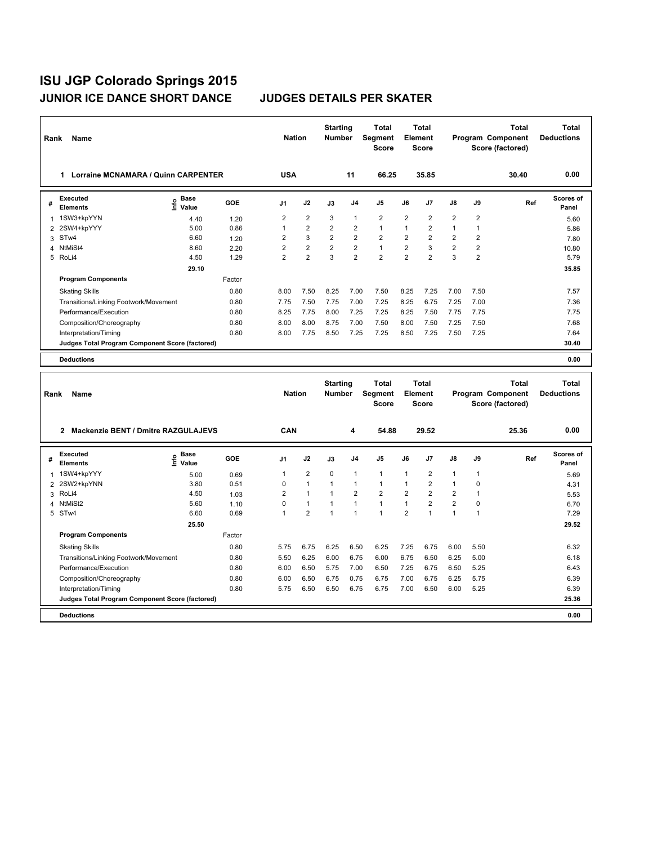| Rank           | Name                                            |                       |            | <b>Nation</b>           |                | <b>Starting</b><br><b>Number</b> |                | <b>Total</b><br>Segment<br><b>Score</b> |                | <b>Total</b><br>Element<br><b>Score</b> |                         |                | <b>Total</b><br>Program Component<br>Score (factored) | <b>Total</b><br><b>Deductions</b> |
|----------------|-------------------------------------------------|-----------------------|------------|-------------------------|----------------|----------------------------------|----------------|-----------------------------------------|----------------|-----------------------------------------|-------------------------|----------------|-------------------------------------------------------|-----------------------------------|
|                | 1 Lorraine MCNAMARA / Quinn CARPENTER           |                       |            | <b>USA</b>              |                |                                  | 11             | 66.25                                   |                | 35.85                                   |                         |                | 30.40                                                 | 0.00                              |
| #              | <b>Executed</b><br><b>Elements</b>              | e Base<br>⊆ Value     | <b>GOE</b> | J <sub>1</sub>          | J2             | J3                               | J <sub>4</sub> | J5                                      | J6             | J <sub>7</sub>                          | J8                      | J9             | Ref                                                   | <b>Scores of</b><br>Panel         |
| 1              | 1SW3+kpYYN                                      | 4.40                  | 1.20       | $\overline{2}$          | $\overline{2}$ | 3                                | $\mathbf{1}$   | $\overline{2}$                          | $\overline{2}$ | $\overline{2}$                          | $\overline{2}$          | $\overline{2}$ |                                                       | 5.60                              |
| 2              | 2SW4+kpYYY                                      | 5.00                  | 0.86       | $\mathbf{1}$            | $\overline{2}$ | $\overline{2}$                   | $\overline{2}$ | $\mathbf{1}$                            | 1              | $\overline{2}$                          | $\mathbf{1}$            | $\mathbf{1}$   |                                                       | 5.86                              |
| 3              | STw4                                            | 6.60                  | 1.20       | $\overline{2}$          | $\mathbf{3}$   | $\overline{2}$                   | $\overline{2}$ | $\overline{\mathbf{c}}$                 | $\overline{2}$ | $\overline{c}$                          | $\overline{\mathbf{c}}$ | $\overline{2}$ |                                                       | 7.80                              |
| $\overline{4}$ | NtMiSt4                                         | 8.60                  | 2.20       | $\overline{\mathbf{c}}$ | $\overline{2}$ | 2                                | $\overline{2}$ | $\mathbf{1}$                            | $\overline{2}$ | 3                                       | $\overline{\mathbf{c}}$ | $\overline{2}$ |                                                       | 10.80                             |
|                | 5 RoLi4                                         | 4.50                  | 1.29       | $\overline{2}$          | $\overline{2}$ | 3                                | $\overline{2}$ | $\overline{2}$                          | $\overline{2}$ | $\overline{2}$                          | 3                       | $\overline{2}$ |                                                       | 5.79                              |
|                |                                                 | 29.10                 |            |                         |                |                                  |                |                                         |                |                                         |                         |                |                                                       | 35.85                             |
|                | <b>Program Components</b>                       |                       | Factor     |                         |                |                                  |                |                                         |                |                                         |                         |                |                                                       |                                   |
|                | <b>Skating Skills</b>                           |                       | 0.80       | 8.00                    | 7.50           | 8.25                             | 7.00           | 7.50                                    | 8.25           | 7.25                                    | 7.00                    | 7.50           |                                                       | 7.57                              |
|                | Transitions/Linking Footwork/Movement           |                       | 0.80       | 7.75                    | 7.50           | 7.75                             | 7.00           | 7.25                                    | 8.25           | 6.75                                    | 7.25                    | 7.00           |                                                       | 7.36                              |
|                | Performance/Execution                           |                       | 0.80       | 8.25                    | 7.75           | 8.00                             | 7.25           | 7.25                                    | 8.25           | 7.50                                    | 7.75                    | 7.75           |                                                       | 7.75                              |
|                | Composition/Choreography                        |                       | 0.80       | 8.00                    | 8.00           | 8.75                             | 7.00           | 7.50                                    | 8.00           | 7.50                                    | 7.25                    | 7.50           |                                                       | 7.68                              |
|                | Interpretation/Timing                           |                       | 0.80       | 8.00                    | 7.75           | 8.50                             | 7.25           | 7.25                                    | 8.50           | 7.25                                    | 7.50                    | 7.25           |                                                       | 7.64                              |
|                | Judges Total Program Component Score (factored) |                       |            |                         |                |                                  |                |                                         |                |                                         |                         |                |                                                       | 30.40                             |
|                | <b>Deductions</b>                               |                       |            |                         |                |                                  |                |                                         |                |                                         |                         |                |                                                       | 0.00                              |
|                |                                                 |                       |            |                         |                |                                  |                |                                         |                |                                         |                         |                |                                                       |                                   |
|                |                                                 |                       |            |                         |                |                                  |                |                                         |                |                                         |                         |                |                                                       |                                   |
| Rank           | Name                                            |                       |            | <b>Nation</b>           |                | <b>Starting</b><br><b>Number</b> |                | Total<br>Segment<br><b>Score</b>        | Element        | <b>Total</b><br><b>Score</b>            |                         |                | <b>Total</b><br>Program Component<br>Score (factored) | Total<br><b>Deductions</b>        |
|                |                                                 |                       |            |                         |                |                                  |                |                                         |                |                                         |                         |                |                                                       |                                   |
|                | 2 Mackenzie BENT / Dmitre RAZGULAJEVS           |                       |            | <b>CAN</b>              |                |                                  | 4              | 54.88                                   |                | 29.52                                   |                         |                | 25.36                                                 | 0.00                              |
| #              | <b>Executed</b><br><b>Elements</b>              | Base<br>١nfo<br>Value | <b>GOE</b> | J1                      | J2             | J3                               | J <sub>4</sub> | J5                                      | J6             | J7                                      | J8                      | J9             | Ref                                                   | <b>Scores of</b><br>Panel         |
| $\mathbf{1}$   | 1SW4+kpYYY                                      | 5.00                  | 0.69       | $\mathbf{1}$            | $\overline{2}$ | $\mathbf 0$                      | $\mathbf{1}$   | 1                                       | 1              | $\overline{\mathbf{c}}$                 | 1                       | 1              |                                                       | 5.69                              |
| $\overline{2}$ | 2SW2+kpYNN                                      | 3.80                  | 0.51       | $\mathbf 0$             | $\mathbf{1}$   | $\mathbf{1}$                     | $\mathbf{1}$   | $\mathbf{1}$                            | $\mathbf{1}$   | $\overline{c}$                          | $\mathbf{1}$            | 0              |                                                       | 4.31                              |
| 3              | RoLi4                                           | 4.50                  | 1.03       | $\overline{2}$          | $\mathbf{1}$   | 1                                | $\overline{2}$ | $\overline{2}$                          | $\overline{2}$ | $\overline{2}$                          | $\overline{2}$          | $\mathbf{1}$   |                                                       | 5.53                              |
| 4              | NtMiSt2                                         | 5.60                  | 1.10       | 0                       | $\mathbf{1}$   | $\mathbf{1}$                     | $\mathbf{1}$   | $\mathbf{1}$                            | $\mathbf{1}$   | $\overline{\mathbf{c}}$                 | $\overline{\mathbf{c}}$ | 0              |                                                       | 6.70                              |
|                | 5 STw4                                          | 6.60                  | 0.69       | 1                       | $\overline{2}$ | 1                                | $\overline{1}$ | $\mathbf{1}$                            | $\overline{2}$ | $\overline{1}$                          | $\mathbf{1}$            | 1              |                                                       | 7.29                              |
|                |                                                 | 25.50                 |            |                         |                |                                  |                |                                         |                |                                         |                         |                |                                                       | 29.52                             |
|                | <b>Program Components</b>                       |                       | Factor     |                         |                |                                  |                |                                         |                |                                         |                         |                |                                                       |                                   |
|                | <b>Skating Skills</b>                           |                       | 0.80       | 5.75                    | 6.75           | 6.25                             | 6.50           | 6.25                                    | 7.25           | 6.75                                    | 6.00                    | 5.50           |                                                       | 6.32                              |
|                | Transitions/Linking Footwork/Movement           |                       | 0.80       | 5.50                    | 6.25           | 6.00                             | 6.75           | 6.00                                    | 6.75           | 6.50                                    | 6.25                    | 5.00           |                                                       | 6.18                              |
|                | Performance/Execution                           |                       | 0.80       | 6.00                    | 6.50           | 5.75                             | 7.00           | 6.50                                    | 7.25           | 6.75                                    | 6.50                    | 5.25           |                                                       | 6.43                              |
|                | Composition/Choreography                        |                       | 0.80       | 6.00                    | 6.50           | 6.75                             | 0.75           | 6.75                                    | 7.00           | 6.75                                    | 6.25                    | 5.75           |                                                       | 6.39                              |
|                | Interpretation/Timing                           |                       | 0.80       | 5.75                    | 6.50           | 6.50                             | 6.75           | 6.75                                    | 7.00           | 6.50                                    | 6.00                    | 5.25           |                                                       | 6.39                              |
|                | Judges Total Program Component Score (factored) |                       |            |                         |                |                                  |                |                                         |                |                                         |                         |                |                                                       | 25.36                             |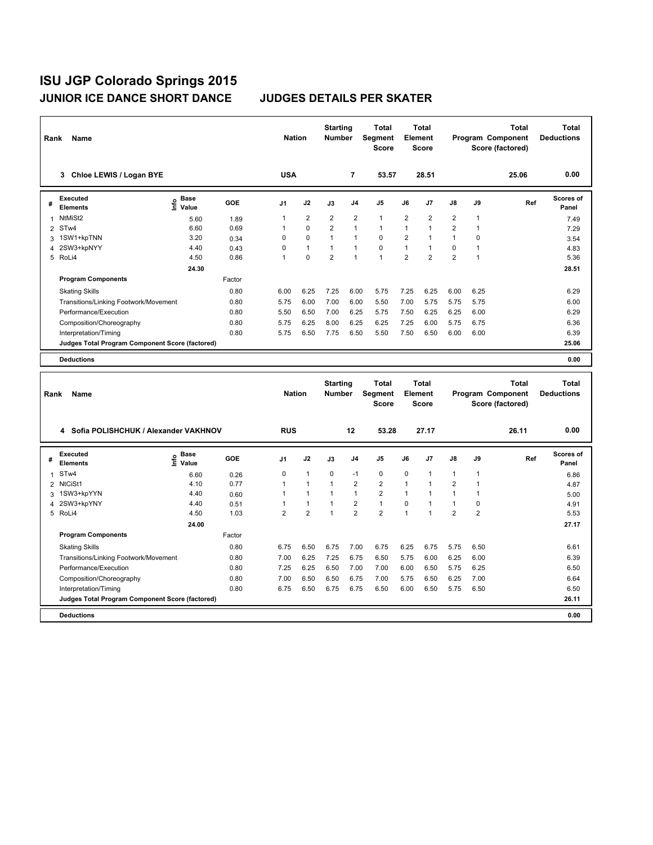| Rank           | Name                                            |                                             |        | <b>Nation</b>  |                | <b>Starting</b><br><b>Number</b> |                | <b>Total</b><br>Segment<br><b>Score</b> |                | <b>Total</b><br>Element<br><b>Score</b> |                         |                | <b>Total</b><br>Program Component<br>Score (factored) | Total<br><b>Deductions</b> |
|----------------|-------------------------------------------------|---------------------------------------------|--------|----------------|----------------|----------------------------------|----------------|-----------------------------------------|----------------|-----------------------------------------|-------------------------|----------------|-------------------------------------------------------|----------------------------|
|                | 3 Chloe LEWIS / Logan BYE                       |                                             |        | <b>USA</b>     |                |                                  | 7              | 53.57                                   |                | 28.51                                   |                         |                | 25.06                                                 | 0.00                       |
| #              | <b>Executed</b><br><b>Elements</b>              | <b>Base</b><br>e <sup>Base</sup><br>⊆ Value | GOE    | J1             | J2             | J3                               | J4             | J5                                      | J6             | J7                                      | J8                      | J9             | Ref                                                   | <b>Scores of</b><br>Panel  |
| 1              | NtMiSt2                                         | 5.60                                        | 1.89   | $\mathbf{1}$   | $\overline{2}$ | 2                                | $\overline{2}$ | $\mathbf{1}$                            | $\overline{2}$ | $\overline{2}$                          | $\overline{2}$          | 1              |                                                       | 7.49                       |
|                | 2 STw4                                          | 6.60                                        | 0.69   | $\mathbf{1}$   | $\mathbf 0$    | 2                                | $\overline{1}$ | $\mathbf{1}$                            | $\mathbf{1}$   | $\mathbf{1}$                            | $\overline{\mathbf{c}}$ | 1              |                                                       | 7.29                       |
| 3              | 1SW1+kpTNN                                      | 3.20                                        | 0.34   | 0              | $\Omega$       | $\mathbf{1}$                     | $\overline{1}$ | $\Omega$                                | $\overline{2}$ | 1                                       | $\mathbf{1}$            | 0              |                                                       | 3.54                       |
| $\overline{4}$ | 2SW3+kpNYY                                      | 4.40                                        | 0.43   | 0              | $\mathbf{1}$   | $\mathbf{1}$                     | $\overline{1}$ | $\mathbf 0$                             | $\mathbf{1}$   | $\mathbf{1}$                            | 0                       | 1              |                                                       | 4.83                       |
|                | 5 RoLi4                                         | 4.50                                        | 0.86   | 1              | 0              | $\overline{2}$                   | $\overline{1}$ | $\mathbf{1}$                            | $\overline{2}$ | $\overline{2}$                          | $\overline{\mathbf{c}}$ | 1              |                                                       | 5.36                       |
|                |                                                 | 24.30                                       |        |                |                |                                  |                |                                         |                |                                         |                         |                |                                                       | 28.51                      |
|                | <b>Program Components</b>                       |                                             | Factor |                |                |                                  |                |                                         |                |                                         |                         |                |                                                       |                            |
|                | <b>Skating Skills</b>                           |                                             | 0.80   | 6.00           | 6.25           | 7.25                             | 6.00           | 5.75                                    | 7.25           | 6.25                                    | 6.00                    | 6.25           |                                                       | 6.29                       |
|                | Transitions/Linking Footwork/Movement           |                                             | 0.80   | 5.75           | 6.00           | 7.00                             | 6.00           | 5.50                                    | 7.00           | 5.75                                    | 5.75                    | 5.75           |                                                       | 6.00                       |
|                | Performance/Execution                           |                                             | 0.80   | 5.50           | 6.50           | 7.00                             | 6.25           | 5.75                                    | 7.50           | 6.25                                    | 6.25                    | 6.00           |                                                       | 6.29                       |
|                | Composition/Choreography                        |                                             | 0.80   | 5.75           | 6.25           | 8.00                             | 6.25           | 6.25                                    | 7.25           | 6.00                                    | 5.75                    | 6.75           |                                                       | 6.36                       |
|                | Interpretation/Timing                           |                                             | 0.80   | 5.75           | 6.50           | 7.75                             | 6.50           | 5.50                                    | 7.50           | 6.50                                    | 6.00                    | 6.00           |                                                       | 6.39                       |
|                | Judges Total Program Component Score (factored) |                                             |        |                |                |                                  |                |                                         |                |                                         |                         |                |                                                       | 25.06                      |
|                | <b>Deductions</b>                               |                                             |        |                |                |                                  |                |                                         |                |                                         |                         |                |                                                       | 0.00                       |
|                |                                                 |                                             |        |                |                |                                  |                |                                         |                |                                         |                         |                |                                                       |                            |
|                |                                                 |                                             |        |                |                |                                  |                |                                         |                |                                         |                         |                |                                                       |                            |
|                |                                                 |                                             |        |                |                | <b>Starting</b>                  |                | <b>Total</b>                            |                | Total                                   |                         |                | <b>Total</b>                                          | <b>Total</b>               |
| Rank           | Name                                            |                                             |        | <b>Nation</b>  |                | <b>Number</b>                    |                | Segment<br><b>Score</b>                 |                | Element<br><b>Score</b>                 |                         |                | Program Component<br>Score (factored)                 | <b>Deductions</b>          |
|                |                                                 |                                             |        |                |                |                                  |                |                                         |                |                                         |                         |                |                                                       |                            |
|                | 4 Sofia POLISHCHUK / Alexander VAKHNOV          |                                             |        | <b>RUS</b>     |                |                                  | 12             | 53.28                                   |                | 27.17                                   |                         |                | 26.11                                                 | 0.00                       |
|                |                                                 |                                             |        |                |                |                                  |                |                                         |                |                                         |                         |                |                                                       |                            |
| #              | <b>Executed</b><br><b>Elements</b>              | Base<br>e Base<br>E Value                   | GOE    | J <sub>1</sub> | J2             | J3                               | J <sub>4</sub> | J5                                      | J6             | J7                                      | J8                      | J9             | Ref                                                   | Scores of<br>Panel         |
| 1              | STw4                                            | 6.60                                        | 0.26   | 0              | $\mathbf{1}$   | $\mathbf 0$                      | $-1$           | $\mathbf 0$                             | 0              | 1                                       | 1                       | 1              |                                                       | 6.86                       |
| $\overline{2}$ | NtCiSt1                                         | 4.10                                        | 0.77   | 1              | $\mathbf{1}$   | $\mathbf{1}$                     | $\overline{2}$ | $\overline{2}$                          | 1              | 1                                       | $\overline{2}$          | 1              |                                                       | 4.87                       |
| 3              | 1SW3+kpYYN                                      | 4.40                                        | 0.60   | $\mathbf{1}$   | $\mathbf{1}$   | 1                                | $\mathbf{1}$   | $\overline{2}$                          | 1              | 1                                       | $\mathbf{1}$            | 1              |                                                       | 5.00                       |
| 4              | 2SW3+kpYNY                                      | 4.40                                        | 0.51   | $\mathbf{1}$   | $\mathbf{1}$   | 1                                | $\overline{2}$ | $\mathbf{1}$                            | $\mathsf 0$    | $\mathbf{1}$                            | $\mathbf{1}$            | 0              |                                                       | 4.91                       |
|                | 5 RoLi4                                         | 4.50                                        | 1.03   | $\overline{2}$ | $\overline{2}$ | 1                                | $\overline{2}$ | $\overline{2}$                          | 1              | $\mathbf{1}$                            | $\overline{2}$          | $\overline{2}$ |                                                       | 5.53                       |
|                |                                                 | 24.00                                       |        |                |                |                                  |                |                                         |                |                                         |                         |                |                                                       | 27.17                      |
|                | <b>Program Components</b>                       |                                             | Factor |                |                |                                  |                |                                         |                |                                         |                         |                |                                                       |                            |
|                | <b>Skating Skills</b>                           |                                             | 0.80   | 6.75           | 6.50           | 6.75                             | 7.00           | 6.75                                    | 6.25           | 6.75                                    | 5.75                    | 6.50           |                                                       | 6.61                       |
|                | Transitions/Linking Footwork/Movement           |                                             | 0.80   | 7.00           | 6.25           | 7.25                             | 6.75           | 6.50                                    | 5.75           | 6.00                                    | 6.25                    | 6.00           |                                                       | 6.39                       |
|                | Performance/Execution                           |                                             | 0.80   | 7.25           | 6.25           | 6.50                             | 7.00           | 7.00                                    | 6.00           | 6.50                                    | 5.75                    | 6.25           |                                                       | 6.50                       |
|                | Composition/Choreography                        |                                             | 0.80   | 7.00           | 6.50           | 6.50                             | 6.75           | 7.00                                    | 5.75           | 6.50                                    | 6.25                    | 7.00           |                                                       | 6.64                       |
|                | Interpretation/Timing                           |                                             | 0.80   | 6.75           | 6.50           | 6.75                             | 6.75           | 6.50                                    | 6.00           | 6.50                                    | 5.75                    | 6.50           |                                                       | 6.50                       |
|                | Judges Total Program Component Score (factored) |                                             |        |                |                |                                  |                |                                         |                |                                         |                         |                |                                                       | 26.11                      |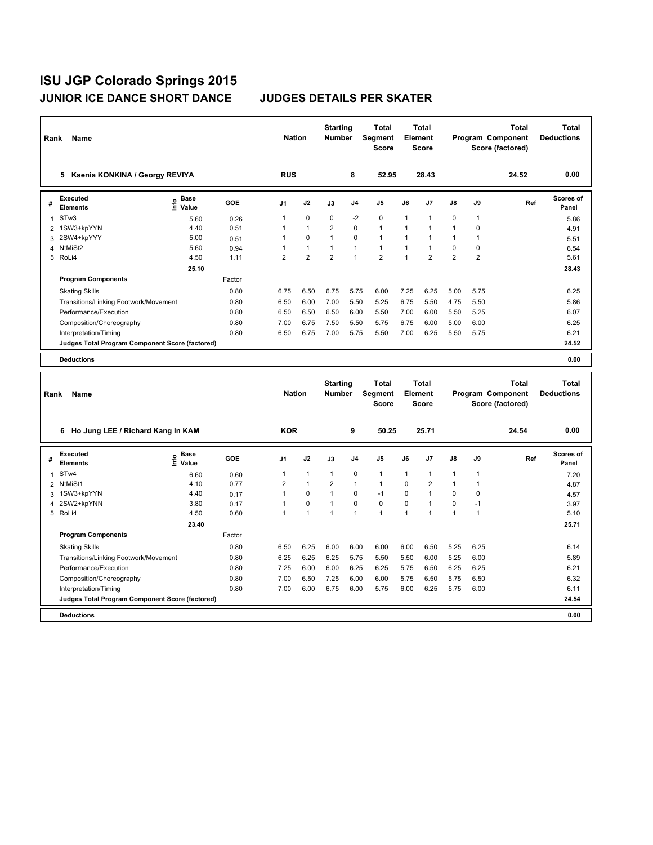| Rank           | Name                                            |                           |            | <b>Nation</b>           |                | <b>Starting</b><br><b>Number</b> |              | <b>Total</b><br>Segment<br><b>Score</b> |              | <b>Total</b><br>Element<br>Score |                |                | <b>Total</b><br>Program Component<br>Score (factored) | <b>Total</b><br><b>Deductions</b> |
|----------------|-------------------------------------------------|---------------------------|------------|-------------------------|----------------|----------------------------------|--------------|-----------------------------------------|--------------|----------------------------------|----------------|----------------|-------------------------------------------------------|-----------------------------------|
|                | 5 Ksenia KONKINA / Georgy REVIYA                |                           |            | <b>RUS</b>              |                |                                  | 8            | 52.95                                   |              | 28.43                            |                |                | 24.52                                                 | 0.00                              |
| #              | <b>Executed</b><br><b>Elements</b>              | Base<br>e Base<br>⊆ Value | <b>GOE</b> | J1                      | J2             | J3                               | J4           | J5                                      | J6           | J7                               | J8             | J9             | Ref                                                   | <b>Scores of</b><br>Panel         |
| $\mathbf{1}$   | STw <sub>3</sub>                                | 5.60                      | 0.26       | 1                       | $\mathbf 0$    | 0                                | $-2$         | 0                                       | 1            | 1                                | 0              | 1              |                                                       | 5.86                              |
| 2              | 1SW3+kpYYN                                      | 4.40                      | 0.51       | 1                       | $\mathbf{1}$   | $\overline{2}$                   | $\mathbf 0$  | $\mathbf{1}$                            | 1            | $\mathbf{1}$                     | $\mathbf{1}$   | $\mathbf 0$    |                                                       | 4.91                              |
| 3              | 2SW4+kpYYY                                      | 5.00                      | 0.51       | $\overline{1}$          | $\mathbf 0$    | 1                                | $\mathbf 0$  | $\mathbf{1}$                            | 1            | $\mathbf{1}$                     | $\mathbf{1}$   | $\mathbf{1}$   |                                                       | 5.51                              |
| $\overline{4}$ | NtMiSt2                                         | 5.60                      | 0.94       | $\mathbf{1}$            | $\mathbf{1}$   | $\mathbf{1}$                     | $\mathbf{1}$ | $\mathbf{1}$                            | 1            | $\overline{1}$                   | 0              | $\mathbf 0$    |                                                       | 6.54                              |
|                | 5 RoLi4                                         | 4.50                      | 1.11       | $\overline{2}$          | $\overline{2}$ | $\overline{2}$                   | $\mathbf{1}$ | $\overline{2}$                          | $\mathbf{1}$ | $\overline{2}$                   | $\overline{2}$ | $\overline{2}$ |                                                       | 5.61                              |
|                |                                                 | 25.10                     |            |                         |                |                                  |              |                                         |              |                                  |                |                |                                                       | 28.43                             |
|                | <b>Program Components</b>                       |                           | Factor     |                         |                |                                  |              |                                         |              |                                  |                |                |                                                       |                                   |
|                | <b>Skating Skills</b>                           |                           | 0.80       | 6.75                    | 6.50           | 6.75                             | 5.75         | 6.00                                    | 7.25         | 6.25                             | 5.00           | 5.75           |                                                       | 6.25                              |
|                | Transitions/Linking Footwork/Movement           |                           | 0.80       | 6.50                    | 6.00           | 7.00                             | 5.50         | 5.25                                    | 6.75         | 5.50                             | 4.75           | 5.50           |                                                       | 5.86                              |
|                | Performance/Execution                           |                           | 0.80       | 6.50                    | 6.50           | 6.50                             | 6.00         | 5.50                                    | 7.00         | 6.00                             | 5.50           | 5.25           |                                                       | 6.07                              |
|                | Composition/Choreography                        |                           | 0.80       | 7.00                    | 6.75           | 7.50                             | 5.50         | 5.75                                    | 6.75         | 6.00                             | 5.00           | 6.00           |                                                       | 6.25                              |
|                | Interpretation/Timing                           |                           | 0.80       | 6.50                    | 6.75           | 7.00                             | 5.75         | 5.50                                    | 7.00         | 6.25                             | 5.50           | 5.75           |                                                       | 6.21                              |
|                | Judges Total Program Component Score (factored) |                           |            |                         |                |                                  |              |                                         |              |                                  |                |                |                                                       | 24.52                             |
|                | <b>Deductions</b>                               |                           |            |                         |                |                                  |              |                                         |              |                                  |                |                |                                                       | 0.00                              |
|                |                                                 |                           |            |                         |                |                                  |              |                                         |              |                                  |                |                |                                                       |                                   |
|                |                                                 |                           |            |                         |                | <b>Starting</b>                  |              | <b>Total</b>                            |              | Total                            |                |                | <b>Total</b>                                          | <b>Total</b>                      |
| Rank           | Name                                            |                           |            | <b>Nation</b>           |                | Number                           |              | <b>Segment</b><br><b>Score</b>          |              | Element<br><b>Score</b>          |                |                | Program Component<br>Score (factored)                 | <b>Deductions</b>                 |
|                | 6 Ho Jung LEE / Richard Kang In KAM             |                           |            | <b>KOR</b>              |                |                                  | 9            | 50.25                                   |              | 25.71                            |                |                | 24.54                                                 | 0.00                              |
|                |                                                 |                           |            |                         |                |                                  |              |                                         |              |                                  |                |                |                                                       |                                   |
| #              | <b>Executed</b><br><b>Elements</b>              | Base<br>١nfo<br>Value     | <b>GOE</b> | J1                      | J2             | J3                               | J4           | J5                                      | J6           | J7                               | J8             | J9             | Ref                                                   | Scores of<br>Panel                |
| 1              | STw4                                            | 6.60                      | 0.60       | $\mathbf{1}$            | 1              | 1                                | $\mathbf 0$  | 1                                       | 1            | 1                                | 1              | 1              |                                                       | 7.20                              |
| $\overline{2}$ | NtMiSt1                                         | 4.10                      | 0.77       | $\overline{\mathbf{c}}$ | $\mathbf{1}$   | $\overline{2}$                   | $\mathbf{1}$ | 1                                       | 0            | $\overline{2}$                   | 1              | $\mathbf{1}$   |                                                       | 4.87                              |
| 3              | 1SW3+kpYYN                                      | 4.40                      | 0.17       | $\overline{1}$          | $\mathbf 0$    | 1                                | $\mathbf 0$  | $-1$                                    | 0            | 1                                | 0              | $\mathbf 0$    |                                                       | 4.57                              |
| 4              | 2SW2+kpYNN                                      | 3.80                      | 0.17       | 1                       | $\mathbf 0$    | $\overline{1}$                   | $\mathbf 0$  | $\mathbf 0$                             | 0            | 1                                | 0              | $-1$           |                                                       | 3.97                              |
|                | 5 RoLi4                                         | 4.50                      | 0.60       | $\overline{1}$          | $\mathbf{1}$   | 1                                | $\mathbf{1}$ | $\mathbf{1}$                            | 1            | 1                                | $\mathbf{1}$   | $\mathbf{1}$   |                                                       | 5.10                              |
|                |                                                 | 23.40                     |            |                         |                |                                  |              |                                         |              |                                  |                |                |                                                       | 25.71                             |
|                | <b>Program Components</b>                       |                           | Factor     |                         |                |                                  |              |                                         |              |                                  |                |                |                                                       |                                   |
|                | <b>Skating Skills</b>                           |                           | 0.80       | 6.50                    | 6.25           | 6.00                             | 6.00         | 6.00                                    | 6.00         | 6.50                             | 5.25           | 6.25           |                                                       | 6.14                              |
|                | Transitions/Linking Footwork/Movement           |                           | 0.80       | 6.25                    | 6.25           | 6.25                             | 5.75         | 5.50                                    | 5.50         | 6.00                             | 5.25           | 6.00           |                                                       | 5.89                              |
|                | Performance/Execution                           |                           | 0.80       | 7.25                    | 6.00           | 6.00                             | 6.25         | 6.25                                    | 5.75         | 6.50                             | 6.25           | 6.25           |                                                       | 6.21                              |
|                | Composition/Choreography                        |                           | 0.80       | 7.00                    | 6.50           | 7.25                             | 6.00         | 6.00                                    | 5.75         | 6.50                             | 5.75           | 6.50           |                                                       | 6.32                              |
|                | Interpretation/Timing                           |                           | 0.80       | 7.00                    | 6.00           | 6.75                             | 6.00         | 5.75                                    | 6.00         | 6.25                             | 5.75           | 6.00           |                                                       | 6.11                              |
|                | Judges Total Program Component Score (factored) |                           |            |                         |                |                                  |              |                                         |              |                                  |                |                |                                                       | 24.54                             |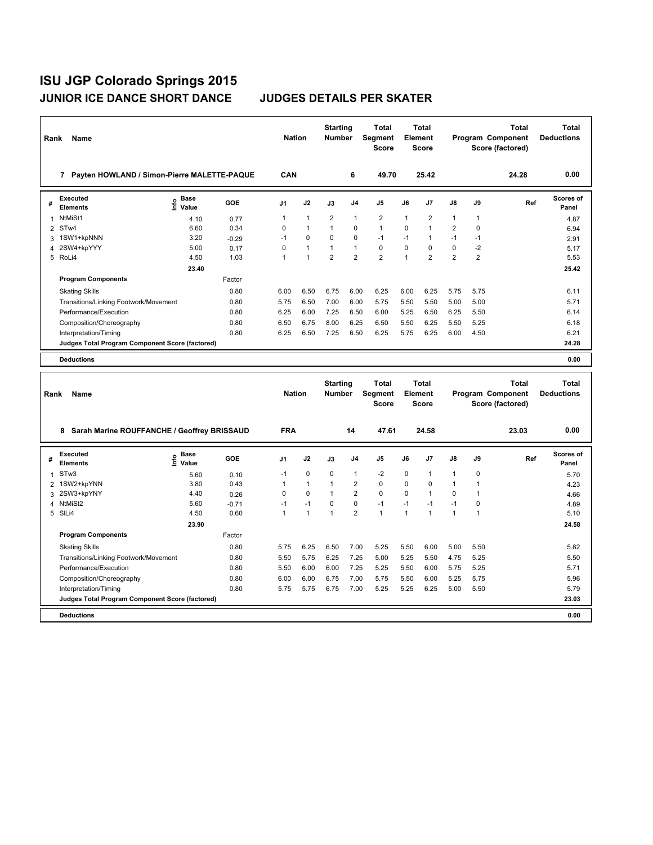| Rank           | Name                                            |                                      |         | <b>Nation</b>  |              | <b>Starting</b><br><b>Number</b> |                | Total<br><b>Segment</b><br><b>Score</b> | Element      | Total<br><b>Score</b> |                         |                | <b>Total</b><br>Program Component<br>Score (factored) | <b>Total</b><br><b>Deductions</b> |
|----------------|-------------------------------------------------|--------------------------------------|---------|----------------|--------------|----------------------------------|----------------|-----------------------------------------|--------------|-----------------------|-------------------------|----------------|-------------------------------------------------------|-----------------------------------|
|                | 7 Payten HOWLAND / Simon-Pierre MALETTE-PAQUE   |                                      |         | CAN            |              |                                  | 6              | 49.70                                   |              | 25.42                 |                         |                | 24.28                                                 | 0.00                              |
| #              | <b>Executed</b><br><b>Elements</b>              | Base<br>은 <sup>Base</sup><br>⊆ Value | GOE     | J <sub>1</sub> | J2           | J3                               | J <sub>4</sub> | J5                                      | J6           | J7                    | J8                      | J9             | Ref                                                   | Scores of<br>Panel                |
| 1              | NtMiSt1                                         | 4.10                                 | 0.77    | $\mathbf{1}$   | $\mathbf{1}$ | 2                                | $\overline{1}$ | $\overline{2}$                          | $\mathbf{1}$ | $\overline{2}$        | $\mathbf{1}$            | 1              |                                                       | 4.87                              |
|                | 2 STw4                                          | 6.60                                 | 0.34    | 0              | $\mathbf{1}$ | $\mathbf{1}$                     | $\mathbf 0$    | $\mathbf{1}$                            | $\Omega$     | 1                     | $\overline{\mathbf{c}}$ | 0              |                                                       | 6.94                              |
| 3              | 1SW1+kpNNN                                      | 3.20                                 | $-0.29$ | $-1$           | $\mathbf 0$  | 0                                | $\mathbf 0$    | $-1$                                    | $-1$         | 1                     | $-1$                    | $-1$           |                                                       | 2.91                              |
| $\overline{4}$ | 2SW4+kpYYY                                      | 5.00                                 | 0.17    | 0              | $\mathbf{1}$ | 1                                | $\overline{1}$ | $\pmb{0}$                               | $\mathbf 0$  | 0                     | 0                       | $-2$           |                                                       | 5.17                              |
| 5              | RoLi4                                           | 4.50                                 | 1.03    | $\overline{1}$ | $\mathbf{1}$ | $\overline{2}$                   | $\overline{2}$ | $\overline{2}$                          | 1            | $\overline{2}$        | $\overline{2}$          | $\overline{2}$ |                                                       | 5.53                              |
|                |                                                 | 23.40                                |         |                |              |                                  |                |                                         |              |                       |                         |                |                                                       | 25.42                             |
|                | <b>Program Components</b>                       |                                      | Factor  |                |              |                                  |                |                                         |              |                       |                         |                |                                                       |                                   |
|                | <b>Skating Skills</b>                           |                                      | 0.80    | 6.00           | 6.50         | 6.75                             | 6.00           | 6.25                                    | 6.00         | 6.25                  | 5.75                    | 5.75           |                                                       | 6.11                              |
|                | Transitions/Linking Footwork/Movement           |                                      | 0.80    | 5.75           | 6.50         | 7.00                             | 6.00           | 5.75                                    | 5.50         | 5.50                  | 5.00                    | 5.00           |                                                       | 5.71                              |
|                | Performance/Execution                           |                                      | 0.80    | 6.25           | 6.00         | 7.25                             | 6.50           | 6.00                                    | 5.25         | 6.50                  | 6.25                    | 5.50           |                                                       | 6.14                              |
|                | Composition/Choreography                        |                                      | 0.80    | 6.50           | 6.75         | 8.00                             | 6.25           | 6.50                                    | 5.50         | 6.25                  | 5.50                    | 5.25           |                                                       | 6.18                              |
|                | Interpretation/Timing                           |                                      | 0.80    | 6.25           | 6.50         | 7.25                             | 6.50           | 6.25                                    | 5.75         | 6.25                  | 6.00                    | 4.50           |                                                       | 6.21                              |
|                | Judges Total Program Component Score (factored) |                                      |         |                |              |                                  |                |                                         |              |                       |                         |                |                                                       | 24.28                             |
|                | <b>Deductions</b>                               |                                      |         |                |              |                                  |                |                                         |              |                       |                         |                |                                                       | 0.00                              |
|                |                                                 |                                      |         |                |              |                                  |                |                                         |              |                       |                         |                |                                                       |                                   |
|                |                                                 |                                      |         |                |              |                                  |                |                                         |              |                       |                         |                |                                                       |                                   |
| Rank           | Name                                            |                                      |         | <b>Nation</b>  |              | <b>Starting</b><br><b>Number</b> |                | <b>Total</b><br>Segment<br><b>Score</b> | Element      | <b>Total</b><br>Score |                         |                | <b>Total</b><br>Program Component<br>Score (factored) | <b>Total</b><br><b>Deductions</b> |
|                |                                                 |                                      |         |                |              |                                  |                |                                         |              |                       |                         |                |                                                       |                                   |
|                | 8 Sarah Marine ROUFFANCHE / Geoffrey BRISSAUD   |                                      |         | <b>FRA</b>     |              |                                  | 14             | 47.61                                   |              | 24.58                 |                         |                | 23.03                                                 | 0.00                              |
| #              | <b>Executed</b><br><b>Elements</b>              | Base<br>e Base<br>E Value            | GOE     | J1             | J2           | J3                               | J <sub>4</sub> | J5                                      | J6           | J7                    | J8                      | J9             | Ref                                                   | <b>Scores of</b><br>Panel         |
| $\mathbf{1}$   | STw <sub>3</sub>                                | 5.60                                 | 0.10    | $-1$           | $\mathbf 0$  | 0                                | $\overline{1}$ | $-2$                                    | 0            | 1                     | 1                       | 0              |                                                       | 5.70                              |
| $\overline{2}$ | 1SW2+kpYNN                                      | 3.80                                 | 0.43    | 1              | $\mathbf{1}$ | 1                                | $\overline{2}$ | 0                                       | 0            | 0                     | 1                       | 1              |                                                       | 4.23                              |
| 3              | 2SW3+kpYNY                                      | 4.40                                 | 0.26    | $\mathbf 0$    | 0            | 1                                | $\overline{2}$ | $\mathbf 0$                             | 0            | $\mathbf{1}$          | 0                       | 1              |                                                       | 4.66                              |
| 4              | NtMiSt2                                         | 5.60                                 | $-0.71$ | $-1$           | $-1$         | 0                                | $\pmb{0}$      | $-1$                                    | $-1$         | $-1$                  | $-1$                    | 0              |                                                       | 4.89                              |
|                | 5 SILi4                                         | 4.50                                 | 0.60    | $\mathbf{1}$   | $\mathbf{1}$ | 1                                | $\overline{2}$ | $\mathbf{1}$                            | 1            | $\mathbf{1}$          | 1                       | $\mathbf{1}$   |                                                       | 5.10                              |
|                |                                                 | 23.90                                |         |                |              |                                  |                |                                         |              |                       |                         |                |                                                       | 24.58                             |
|                | <b>Program Components</b>                       |                                      | Factor  |                |              |                                  |                |                                         |              |                       |                         |                |                                                       |                                   |
|                | <b>Skating Skills</b>                           |                                      | 0.80    | 5.75           | 6.25         | 6.50                             | 7.00           | 5.25                                    | 5.50         | 6.00                  | 5.00                    | 5.50           |                                                       | 5.82                              |
|                | Transitions/Linking Footwork/Movement           |                                      | 0.80    | 5.50           | 5.75         | 6.25                             | 7.25           | 5.00                                    | 5.25         | 5.50                  | 4.75                    | 5.25           |                                                       | 5.50                              |
|                | Performance/Execution                           |                                      | 0.80    | 5.50           | 6.00         | 6.00                             | 7.25           | 5.25                                    | 5.50         | 6.00                  | 5.75                    | 5.25           |                                                       | 5.71                              |
|                | Composition/Choreography                        |                                      | 0.80    | 6.00           | 6.00         | 6.75                             | 7.00           | 5.75                                    | 5.50         | 6.00                  | 5.25                    | 5.75           |                                                       | 5.96                              |
|                | Interpretation/Timing                           |                                      | 0.80    | 5.75           | 5.75         | 6.75                             | 7.00           | 5.25                                    | 5.25         | 6.25                  | 5.00                    | 5.50           |                                                       | 5.79                              |
|                | Judges Total Program Component Score (factored) |                                      |         |                |              |                                  |                |                                         |              |                       |                         |                |                                                       | 23.03                             |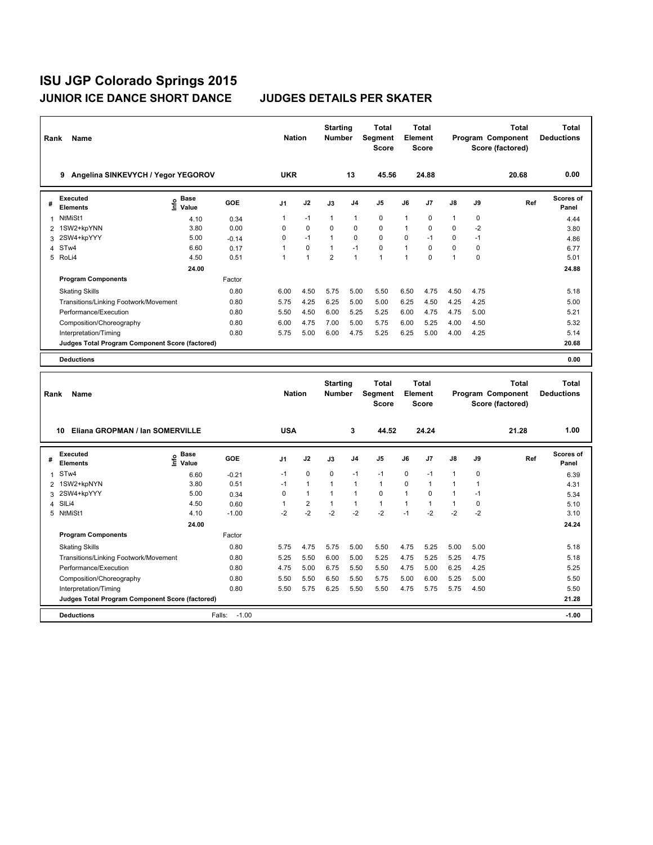| Rank           | Name                                            |                                      |            | <b>Nation</b> |                | <b>Starting</b><br><b>Number</b> |                | <b>Total</b><br>Segment<br><b>Score</b> |         | <b>Total</b><br>Element<br><b>Score</b> |              |      | <b>Total</b><br>Program Component<br>Score (factored) | <b>Total</b><br><b>Deductions</b> |
|----------------|-------------------------------------------------|--------------------------------------|------------|---------------|----------------|----------------------------------|----------------|-----------------------------------------|---------|-----------------------------------------|--------------|------|-------------------------------------------------------|-----------------------------------|
|                | 9 Angelina SINKEVYCH / Yegor YEGOROV            |                                      |            | <b>UKR</b>    |                |                                  | 13             | 45.56                                   |         | 24.88                                   |              |      | 20.68                                                 | 0.00                              |
| #              | <b>Executed</b><br><b>Elements</b>              | e Base<br>⊆ Value                    | <b>GOE</b> | J1            | J2             | J3                               | J <sub>4</sub> | J5                                      | J6      | J7                                      | J8           | J9   | Ref                                                   | Scores of<br>Panel                |
| 1              | NtMiSt1                                         | 4.10                                 | 0.34       | 1             | -1             | 1                                | $\overline{1}$ | 0                                       | 1       | 0                                       | 1            | 0    |                                                       | 4.44                              |
| 2              | 1SW2+kpYNN                                      | 3.80                                 | 0.00       | 0             | 0              | 0                                | $\pmb{0}$      | 0                                       | 1       | 0                                       | 0            | $-2$ |                                                       | 3.80                              |
| 3              | 2SW4+kpYYY                                      | 5.00                                 | $-0.14$    | 0             | $-1$           | 1                                | $\mathbf 0$    | $\mathbf 0$                             | 0       | $-1$                                    | 0            | $-1$ |                                                       | 4.86                              |
| $\overline{4}$ | STw4                                            | 6.60                                 | 0.17       | $\mathbf{1}$  | $\mathbf 0$    | $\mathbf{1}$                     | $-1$           | $\mathbf 0$                             | 1       | $\mathbf 0$                             | 0            | 0    |                                                       | 6.77                              |
|                | 5 RoLi4                                         | 4.50                                 | 0.51       | $\mathbf{1}$  | $\mathbf{1}$   | $\overline{2}$                   | $\overline{1}$ | $\mathbf{1}$                            | 1       | $\Omega$                                | $\mathbf{1}$ | 0    |                                                       | 5.01                              |
|                |                                                 | 24.00                                |            |               |                |                                  |                |                                         |         |                                         |              |      |                                                       | 24.88                             |
|                | <b>Program Components</b>                       |                                      | Factor     |               |                |                                  |                |                                         |         |                                         |              |      |                                                       |                                   |
|                | <b>Skating Skills</b>                           |                                      | 0.80       | 6.00          | 4.50           | 5.75                             | 5.00           | 5.50                                    | 6.50    | 4.75                                    | 4.50         | 4.75 |                                                       | 5.18                              |
|                | Transitions/Linking Footwork/Movement           |                                      | 0.80       | 5.75          | 4.25           | 6.25                             | 5.00           | 5.00                                    | 6.25    | 4.50                                    | 4.25         | 4.25 |                                                       | 5.00                              |
|                | Performance/Execution                           |                                      | 0.80       | 5.50          | 4.50           | 6.00                             | 5.25           | 5.25                                    | 6.00    | 4.75                                    | 4.75         | 5.00 |                                                       | 5.21                              |
|                | Composition/Choreography                        |                                      | 0.80       | 6.00          | 4.75           | 7.00                             | 5.00           | 5.75                                    | 6.00    | 5.25                                    | 4.00         | 4.50 |                                                       | 5.32                              |
|                | Interpretation/Timing                           |                                      | 0.80       | 5.75          | 5.00           | 6.00                             | 4.75           | 5.25                                    | 6.25    | 5.00                                    | 4.00         | 4.25 |                                                       | 5.14                              |
|                | Judges Total Program Component Score (factored) |                                      |            |               |                |                                  |                |                                         |         |                                         |              |      |                                                       | 20.68                             |
|                | <b>Deductions</b>                               |                                      |            |               |                |                                  |                |                                         |         |                                         |              |      |                                                       | 0.00                              |
|                |                                                 |                                      |            |               |                |                                  |                |                                         |         |                                         |              |      |                                                       |                                   |
|                |                                                 |                                      |            |               |                | <b>Starting</b>                  |                | <b>Total</b>                            |         | <b>Total</b>                            |              |      | <b>Total</b>                                          | <b>Total</b>                      |
| Rank           | Name                                            |                                      |            | <b>Nation</b> |                | <b>Number</b>                    |                | Segment<br><b>Score</b>                 | Element | Score                                   |              |      | Program Component<br>Score (factored)                 | <b>Deductions</b>                 |
|                |                                                 |                                      |            |               |                |                                  |                |                                         |         |                                         |              |      |                                                       | 1.00                              |
|                | Eliana GROPMAN / Ian SOMERVILLE<br>10           |                                      |            | <b>USA</b>    |                |                                  | 3              | 44.52                                   |         | 24.24                                   |              |      | 21.28                                                 |                                   |
| #              | <b>Executed</b><br><b>Elements</b>              | Base<br>e <sup>Base</sup><br>⊆ Value | GOE        | J1            | J2             | J3                               | J4             | J5                                      | J6      | J7                                      | J8           | J9   | Ref                                                   | Scores of<br>Panel                |
| 1              | ST <sub>w</sub> 4                               | 6.60                                 | $-0.21$    | $-1$          | $\Omega$       | 0                                | $-1$           | $-1$                                    | 0       | $-1$                                    | $\mathbf{1}$ | 0    |                                                       | 6.39                              |
| $\overline{2}$ | 1SW2+kpNYN                                      | 3.80                                 | 0.51       | $-1$          | $\mathbf{1}$   | 1                                | $\overline{1}$ | $\mathbf{1}$                            | 0       | $\mathbf{1}$                            | 1            | 1    |                                                       | 4.31                              |
| 3              | 2SW4+kpYYY                                      | 5.00                                 | 0.34       | 0             | $\mathbf{1}$   | 1                                | $\overline{1}$ | $\mathbf 0$                             | 1       | 0                                       | 1            | $-1$ |                                                       | 5.34                              |
| 4              | SILi4                                           | 4.50                                 | 0.60       | $\mathbf{1}$  | $\overline{2}$ | $\mathbf{1}$                     | $\mathbf{1}$   | $\mathbf{1}$                            | 1       | $\mathbf{1}$                            | $\mathbf{1}$ | 0    |                                                       | 5.10                              |
| 5              | NtMiSt1                                         | 4.10                                 | $-1.00$    | $-2$          | $-2$           | $-2$                             | $-2$           | $-2$                                    | $-1$    | $-2$                                    | $-2$         | $-2$ |                                                       | 3.10                              |
|                |                                                 | 24.00                                |            |               |                |                                  |                |                                         |         |                                         |              |      |                                                       | 24.24                             |
|                | <b>Program Components</b>                       |                                      | Factor     |               |                |                                  |                |                                         |         |                                         |              |      |                                                       |                                   |
|                | <b>Skating Skills</b>                           |                                      | 0.80       | 5.75          | 4.75           | 5.75                             | 5.00           | 5.50                                    | 4.75    | 5.25                                    | 5.00         | 5.00 |                                                       | 5.18                              |
|                | Transitions/Linking Footwork/Movement           |                                      | 0.80       | 5.25          | 5.50           | 6.00                             | 5.00           | 5.25                                    | 4.75    | 5.25                                    | 5.25         | 4.75 |                                                       | 5.18                              |
|                | Performance/Execution                           |                                      | 0.80       | 4.75          | 5.00           | 6.75                             | 5.50           | 5.50                                    | 4.75    | 5.00                                    | 6.25         | 4.25 |                                                       | 5.25                              |
|                | Composition/Choreography                        |                                      | 0.80       | 5.50          | 5.50           | 6.50                             | 5.50           | 5.75                                    | 5.00    | 6.00                                    | 5.25         | 5.00 |                                                       | 5.50                              |
|                | Interpretation/Timing                           |                                      | 0.80       | 5.50          | 5.75           | 6.25                             | 5.50           | 5.50                                    | 4.75    | 5.75                                    | 5.75         | 4.50 |                                                       | 5.50                              |
|                | Judges Total Program Component Score (factored) |                                      |            |               |                |                                  |                |                                         |         |                                         |              |      |                                                       | 21.28                             |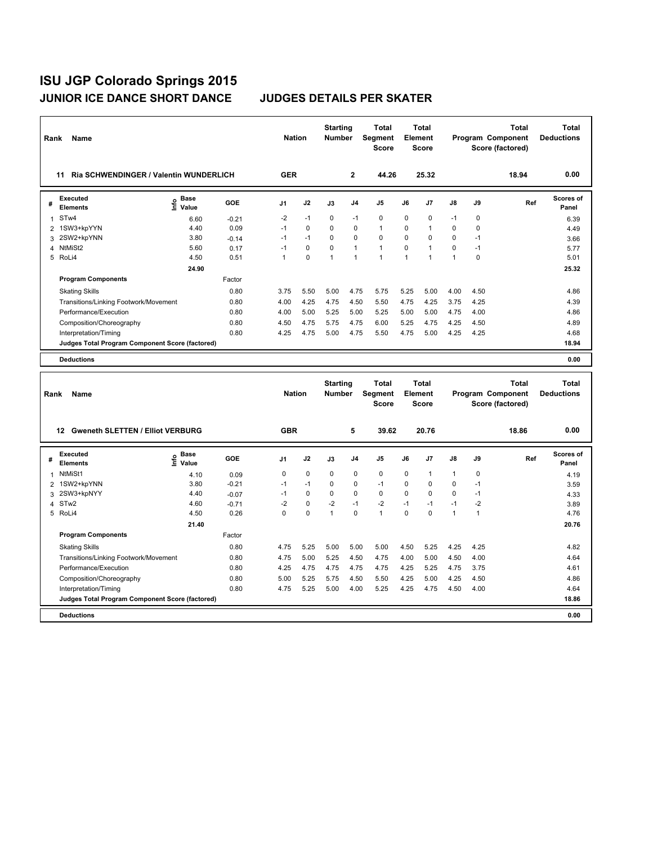| Rank           | Name                                            |                              |            | <b>Nation</b>  |             | <b>Starting</b><br><b>Number</b> |              | <b>Total</b><br><b>Segment</b><br>Score | Element | <b>Total</b><br><b>Score</b> |              |              | <b>Total</b><br>Program Component<br>Score (factored) | <b>Total</b><br><b>Deductions</b> |
|----------------|-------------------------------------------------|------------------------------|------------|----------------|-------------|----------------------------------|--------------|-----------------------------------------|---------|------------------------------|--------------|--------------|-------------------------------------------------------|-----------------------------------|
|                | Ria SCHWENDINGER / Valentin WUNDERLICH<br>11    |                              |            | <b>GER</b>     |             |                                  | $\mathbf{2}$ | 44.26                                   |         | 25.32                        |              |              | 18.94                                                 | 0.00                              |
| #              | <b>Executed</b><br>Elements                     | Base<br>lnfo<br>Value        | <b>GOE</b> | J1             | J2          | J3                               | J4           | J5                                      | J6      | J7                           | J8           | J9           | Ref                                                   | <b>Scores of</b><br>Panel         |
| 1              | STw4                                            | 6.60                         | $-0.21$    | $-2$           | $-1$        | 0                                | $-1$         | $\mathbf 0$                             | 0       | 0                            | $-1$         | $\mathbf 0$  |                                                       | 6.39                              |
| 2              | 1SW3+kpYYN                                      | 4.40                         | 0.09       | $-1$           | $\mathbf 0$ | 0                                | 0            | $\mathbf{1}$                            | 0       | $\mathbf{1}$                 | 0            | $\mathbf 0$  |                                                       | 4.49                              |
| 3              | 2SW2+kpYNN                                      | 3.80                         | $-0.14$    | $-1$           | $-1$        | 0                                | 0            | $\mathbf 0$                             | 0       | 0                            | 0            | $-1$         |                                                       | 3.66                              |
| 4              | NtMiSt2                                         | 5.60                         | 0.17       | $-1$           | $\mathbf 0$ | 0                                | $\mathbf{1}$ | $\mathbf{1}$                            | 0       | 1                            | 0            | $-1$         |                                                       | 5.77                              |
|                | 5 RoLi4                                         | 4.50                         | 0.51       | $\overline{1}$ | $\Omega$    | 1                                | $\mathbf{1}$ | $\mathbf{1}$                            | 1       | 1                            | 1            | $\Omega$     |                                                       | 5.01                              |
|                |                                                 | 24.90                        |            |                |             |                                  |              |                                         |         |                              |              |              |                                                       | 25.32                             |
|                | <b>Program Components</b>                       |                              | Factor     |                |             |                                  |              |                                         |         |                              |              |              |                                                       |                                   |
|                | <b>Skating Skills</b>                           |                              | 0.80       | 3.75           | 5.50        | 5.00                             | 4.75         | 5.75                                    | 5.25    | 5.00                         | 4.00         | 4.50         |                                                       | 4.86                              |
|                | Transitions/Linking Footwork/Movement           |                              | 0.80       | 4.00           | 4.25        | 4.75                             | 4.50         | 5.50                                    | 4.75    | 4.25                         | 3.75         | 4.25         |                                                       | 4.39                              |
|                | Performance/Execution                           |                              | 0.80       | 4.00           | 5.00        | 5.25                             | 5.00         | 5.25                                    | 5.00    | 5.00                         | 4.75         | 4.00         |                                                       | 4.86                              |
|                | Composition/Choreography                        |                              | 0.80       | 4.50           | 4.75        | 5.75                             | 4.75         | 6.00                                    | 5.25    | 4.75                         | 4.25         | 4.50         |                                                       | 4.89                              |
|                | Interpretation/Timing                           |                              | 0.80       | 4.25           | 4.75        | 5.00                             | 4.75         | 5.50                                    | 4.75    | 5.00                         | 4.25         | 4.25         |                                                       | 4.68                              |
|                | Judges Total Program Component Score (factored) |                              |            |                |             |                                  |              |                                         |         |                              |              |              |                                                       | 18.94                             |
|                | <b>Deductions</b>                               |                              |            |                |             |                                  |              |                                         |         |                              |              |              |                                                       | 0.00                              |
|                |                                                 |                              |            |                |             |                                  |              |                                         |         |                              |              |              |                                                       |                                   |
|                |                                                 |                              |            |                |             | <b>Starting</b>                  |              | Total                                   |         | <b>Total</b>                 |              |              | <b>Total</b>                                          | <b>Total</b>                      |
| Rank           | Name                                            |                              |            | <b>Nation</b>  |             | <b>Number</b>                    |              | <b>Segment</b><br><b>Score</b>          | Element | <b>Score</b>                 |              |              | Program Component<br>Score (factored)                 | <b>Deductions</b>                 |
|                |                                                 |                              |            |                |             |                                  |              |                                         |         |                              |              |              |                                                       |                                   |
|                | 12 Gweneth SLETTEN / Elliot VERBURG             |                              |            | <b>GBR</b>     |             |                                  | 5            | 39.62                                   |         | 20.76                        |              |              | 18.86                                                 | 0.00                              |
| #              | <b>Executed</b><br><b>Elements</b>              | <b>Base</b><br>١nf٥<br>Value | <b>GOE</b> | J1             | J2          | J3                               | J4           | J5                                      | J6      | J7                           | J8           | J9           | Ref                                                   | <b>Scores of</b><br>Panel         |
| 1              | NtMiSt1                                         | 4.10                         | 0.09       | 0              | $\mathbf 0$ | $\Omega$                         | $\mathbf 0$  | $\mathbf 0$                             | 0       | $\mathbf{1}$                 | 1            | 0            |                                                       | 4.19                              |
| $\overline{2}$ | 1SW2+kpYNN                                      | 3.80                         | $-0.21$    | $-1$           | $-1$        | 0                                | $\mathbf 0$  | $-1$                                    | 0       | 0                            | 0            | $-1$         |                                                       | 3.59                              |
| 3              | 2SW3+kpNYY                                      | 4.40                         | $-0.07$    | $-1$           | $\Omega$    | $\Omega$                         | $\Omega$     | $\Omega$                                | 0       | $\Omega$                     | $\Omega$     | $-1$         |                                                       | 4.33                              |
|                | 4 STw2                                          | 4.60                         | $-0.71$    | $-2$           | $\mathbf 0$ | $-2$                             | $-1$         | $-2$                                    | $-1$    | $-1$                         | $-1$         | $-2$         |                                                       | 3.89                              |
| 5              | RoLi4                                           | 4.50                         | 0.26       | 0              | $\mathbf 0$ | $\mathbf{1}$                     | $\mathbf 0$  | $\mathbf{1}$                            | 0       | 0                            | $\mathbf{1}$ | $\mathbf{1}$ |                                                       | 4.76                              |
|                |                                                 | 21.40                        |            |                |             |                                  |              |                                         |         |                              |              |              |                                                       | 20.76                             |
|                | <b>Program Components</b>                       |                              | Factor     |                |             |                                  |              |                                         |         |                              |              |              |                                                       |                                   |
|                | <b>Skating Skills</b>                           |                              | 0.80       | 4.75           | 5.25        | 5.00                             | 5.00         | 5.00                                    | 4.50    | 5.25                         | 4.25         | 4.25         |                                                       | 4.82                              |
|                | Transitions/Linking Footwork/Movement           |                              | 0.80       | 4.75           | 5.00        | 5.25                             | 4.50         | 4.75                                    | 4.00    | 5.00                         | 4.50         | 4.00         |                                                       | 4.64                              |
|                | Performance/Execution                           |                              | 0.80       | 4.25           | 4.75        | 4.75                             | 4.75         | 4.75                                    | 4.25    | 5.25                         | 4.75         | 3.75         |                                                       | 4.61                              |
|                | Composition/Choreography                        |                              | 0.80       | 5.00           | 5.25        | 5.75                             | 4.50         | 5.50                                    | 4.25    | 5.00                         | 4.25         | 4.50         |                                                       | 4.86                              |
|                | Interpretation/Timing                           |                              | 0.80       | 4.75           | 5.25        | 5.00                             | 4.00         | 5.25                                    | 4.25    | 4.75                         | 4.50         | 4.00         |                                                       | 4.64                              |
|                | Judges Total Program Component Score (factored) |                              |            |                |             |                                  |              |                                         |         |                              |              |              |                                                       | 18.86                             |